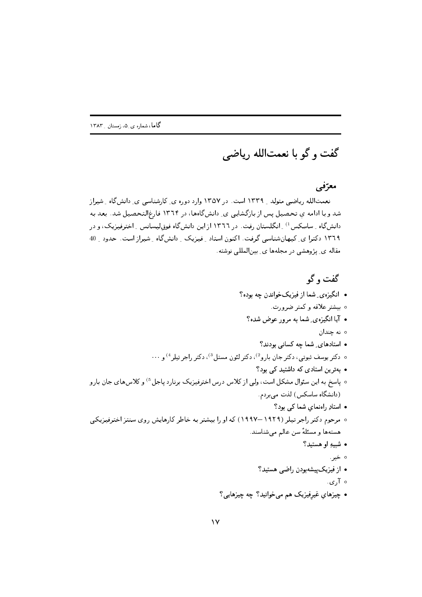## گفت و گو با نعمتالله رياضي

## معرّفی

تعمتالله ریاضی متولد ۱۳۳۹ است. در ۱۳۵۷ وارد دوره ی کارشناسی ی دانش گاه شیراز شد و با ادامه ی تحصیل پس از بازگشایی ی ِ دانش گاهها، در ۱۳۶۴ فارغالتحصیل شد. بعد به دانش گاه ۱ ساسِکس <sup>1)</sup> انگلستان رفت. در ۱۳۶۶ از این دانش گاه فوق لیسانس <sub>به</sub> اخترفیزیک، و در ۱۳٦٩ دکترا ی ِ کیهانشناسی گرفت. اکنون استاد ِ فیزیک ِ دانشگاه ِ شیراز است. حدود ِ 40 مقاله ی پژوهشی در مجلهها ی بینالمللی نوشته.

گفت و گو • انگیزهی شما از فیزیکخواندن چه بوده؟ ∘ بیشتر علاقه و کمتر ضرورت. • آیا انگیزهی شما به مرور عوض شده؟ ە نە جندان • استادهای شما چه کسانی بودند؟ ۰ دکتر یوسف ثبوتی، دکتر جان بارو<sup>2)</sup>، دکتر لئون مستل<sup>3</sup>)، دکتر ,اجر تِیلِر<sup>4)</sup> و ۰۰۰ • بهترین استادی که داشتید کی بود؟ ۰ پاسخ به این سئوال مشکل است، ولی از کلاس درس اخترفیزیک برنارد پاجل <sup>5</sup>) و کلاسهای جان بارو (دانشگاه ساسکس) لذت می بردم. • استادِ راهنمای شما کی بود؟ ٥ مرحوم دکتر راجر تیلر (١٩٢٩–١٩٩٧) که او را بیشتر به خاطر کارهایش روی سنتز اخترفیزیکی هستهها و مسئلةً سن عالم مي شناسند. • شبيهِ او هستيد؟ ہ خیر . • از فیزیک پیشهبودن راضبی هستید؟ ه آري. • چیزهای غیرفیزیک هم می خوانید؟ چه چیزهایی؟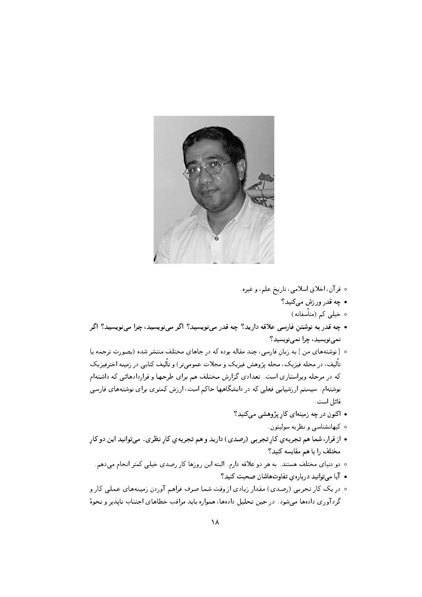

- ه قرآن، اخلاق اسلامي، تاريخ علم، و غيره.
	- چه قدر ورزش مىكنيد؟
		- ۰ خیلی کم (متأسفانه)
- چه قدر به نوشتن فارسی علاقه دارید؟ چه قدر مینویسید؟ اگر مینویسید، چرا مینویسید؟ اگر نمي نويسيد، چرا نمي نويسيد؟
- [نوشتههای من] به زبان فارسی، چند مقاله بوده که در جاهای مختلف منتشر شده (بصورت ترجمه یا تألیف، در مجله فیزیک، مجله پژوهش فیزیک و مجلات عمومیتر) و تألیف کتابی در زمینه اخترفیزیک که در مرحله ویراستاری است. تعدادی گزارش مختلف هم برای طرحها و قراردادهائی که داشتهام نوشتهام. سیستم ار زشیابی فعلی که در دانشگاهها حاکم است، ار زش کمتری برای نوشتههای فارسی قائل است.
	- اکنون در چه زمینهای کار پژوهشی میکنید؟
		- ە كيھانشناسى و نظريه سوليتون.
- از قرار، شما هم تجربه ي كار تجربي (رصدي) داريد و هم تجربه ي كار نظري. مىتوانيد اين دو كار مختلف را با هم مقايسه كنيد؟
	- ۰ دو دنیای مختلف هستند. به هر دو علاقه دارم. البته این روزها کار رصدی خیلی کمتر انجام میدهم.
		- آیا میتوانید دربارهی تفاوتهاشان صحبت کنید؟
- ۰ در یک کار تجربی (رصدی) مقدار زیادی از وقت شما صرف فراهم آوردن زمینههای عملی کار و گردآوری دادهها میشود. در حین تحلیل دادهها، همواره باید مراقب خطاهای اجتناب نایذیر و نحوهٔ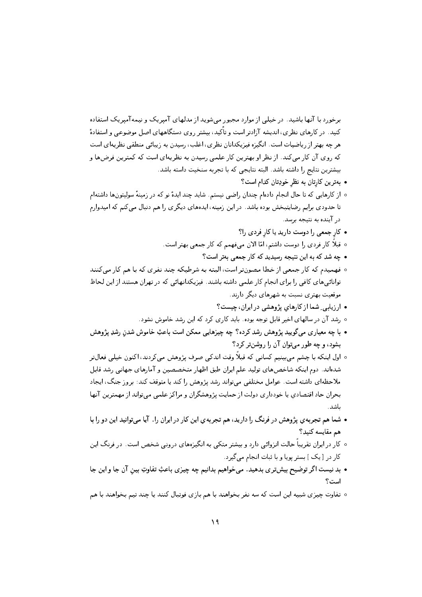برخورد با آنها باشید. در خیلی از موارد مجبور می شوید از مدلهای آمیریک و نیمه آمیریک استفاده کنید. در کارهای نظری، اندیشه آزادتر است و تاًکید، بیشتر روی دستگاههای اصل موضوعی و استفادهٔ هر چه بهتر از ریاضیات است. انگیزه فیزیکدانان نظری، اغلب، رسیدن به زیبائی منطقی نظریهای است که روی آن کار میکند. از نظر او بهترین کار علمی رسیدن به نظریهای است که کمترین فرضها و بيشترين نتايج را داشته باشد. البته نتايجي كه با تجربه سنخيت داسته باشد.

- بهترین کارتان به نظر خودِتان کدام است؟
- از کارهایی که تا حال انجام دادهام چندان راضی نیستم. شاید چند ایدهٔ نو که در زمینهٔ سولیتونها داشتهام تا حدودی برایم رضایتبخش بوده باشد. در این زمینه، ایدههای دیگری را هم دنبال میکنم که امیدوارم در آینده به نتیجه برسد.
	- کار جمعی را دوست دارید یا کار فردی را؟
	- ه قبلاً کار فردی را دوست داشتم، امّا الان میفهمم که کار جمعی بهتر است.
		- چه شد که به این نتیجه رسیدید که کار جمعی بهتر است؟
- ٥ فهمیدم که کار جمعي از خطا مصونتر است، البته به شرطیکه چند نفري که با هم کار ميکنند توانائیهای کافی را برای انجام کار علمی داشته باشند. فیزیکدانهائی که در تهران هستند از این لحاظ موقعیت بهتری نسبت به شهرهای دیگر دارند.
	- ارزیابی ِ شما از کارهای پژوهشی در ایران، چیست؟
	- رشد آن در سالهای اخیر قابل توجه بوده. باید کاری کرد که این رشد خاموش نشود.
- با چه معیاری میگویید پژوهش رشد کرده؟ چه چیزهایی ممکن است باعثِ خاموش شدن رشدِ پژوهش بشود، و چه طور می توان آن را روشن تر کرد؟
- اول اینکه با چشم میبینیم کسانی که قبلاً وقت اندکی صرف پژوهش میکردند، اکنون خیلی فعالتر شدهاند. دوم اینکه شاخصهای تولید علم ایران طبق اظهار متخصصین و آمارهای جهانی رشد قابل ملاحظهای داشته است. عوامل مختلفی میتواند رشد پژوهش را کند یا متوقف کند: بروز جنگ، ایجاد بحران حاد اقتصادي يا خودداري دولت از حمايت پژوهشگران و مراكز علمي مي;تواند از مهمترين آنها ىاشد.
- شما هم تجربه ی پژوهش در فرنگ را دارید، هم تجربه ی این کار در ایران را . آیا می توانید این دو را با هم مقايسه كنيد؟
- کار در ایران تقریباً حالت انزوائی دارد و بیشتر متکی به انگیزههای درونی شخص است. در فرنگ این کار در [یک ] بستر پویا و با ثبات انجام می گیرد.
- بد نیست اگر توضیح بیشتری بدهید. میخواهیم بدانیم چه چیزی باعثِ تفاوتِ بین آن جا و این جا است؟
- تفاوت چیزی شبیه این است که سه نفر بخواهند با هم بازی فوتبال کنند یا چند تیم بخواهند با هم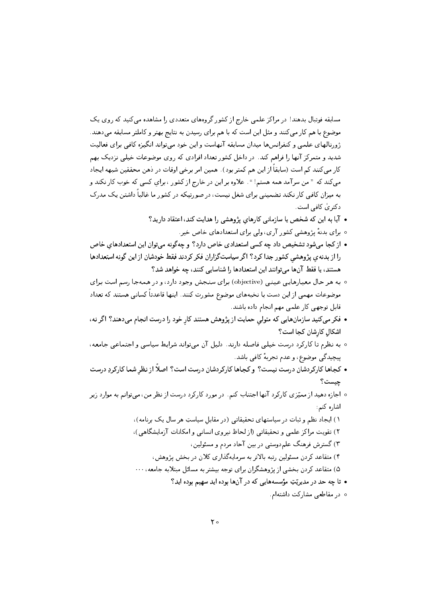مسابقه فوتبال بدهند! در مراکز علمی خارج از کشور گروههای متعددی را مشاهده می کنید که روی یک موضوع با هم کار می کنند و مثل این است که با هم برای رسیدن به نتایج بهتر و کاملتر مسابقه می دهند. ژورنالهای علمبی و کنفرانس ها میدان مسابقه آنهاست و این خود می تواند انگیزه کافی برای فعالیت شدید و متمرکز آنها را فراهم کند. در داخل کشور تعداد افرادی که روی موضوعات خیلی نزدیک بهم كار مى كنند كم است (سابقاً از اين هم كمتر بود). همين امر برخى اوقات در ذهن محققين شبهه ايجاد میکند که " من سرآمد همه هستم! " . علاوه بر این در خارج از کشور ، برای کسی که خوب کار نکند و به میزان کافبی کار نکند تضمینی برای شغل نیست، در صورتیکه در کشور ما غالباً داشتن یک مدرک دکتریٰ کافی است.

- آیا به این که شخص یا سازمانی کارهای پژوهشی را هدایت کند، اعتقاد دارید؟
	- ه برای بدنهٔ پژوهشی کشور آری، ولی برای استعدادهای خاص خیر.
- از کجا می شود تشخیص داد چه کسی استعدادی خاص دارد؟ و چهگونه می توان این استعدادهای خاص را از بدنهی پژوهشی کشور جدا کرد؟ اگر سیاستگزاران فکر کردند فقط خودشان از این گونه استعدادها هستند، یا فقط آنها می توانند این استعدادها را شناسایی کنند، چه خواهد شد؟
- ۰ به هر حال معیارهایی عینی (objective) برای سنجش وجود دارد، و در همهجا رسم است برای موضوعات مهمی از این دست با نخبههای موضوع مشورت کنند. اینها قاعدتاً کسانی هستند که تعداد قابل توجهي كار علمي مهم انجام داده باشند.
- فکر میکنید سازمانهایی که متولی حمایت از پژوهش هستند کار خود را درست انجام می دهند؟ اگر نه، اشكال كارشان كجا است؟
- ٥ به نظرم تا کارکرد درست خیلی فاصله دارند. دلیل آن میتواند شرایط سیاسی و اجتماعی جامعه، پیچیدگی موضوع، و عدم تجربهٔ کافی باشد.
- كجاها كاركردشان درست نيست؟ و كجاها كاركردشان درست است؟ اصلاً از نظر شما كاركردِ درست چیست؟
- ه اجازه دهید از ممیّزی کارکرد آنها اجتناب کنم. در مورد کارکرد درست از نظر من، میتوانم به موارد زیر اشاره کنم:
	- ۱) ایجاد نظم و ثبات در سیاستهای تحقیقاتی (در مقابل سیاستِ هر سال یک برنامه)، ۲) تقویت مراکز علمی و تحقیقاتی (از لحاظ نیروی انسانی و امکانات آزمایشگاهی)، ۳) گسترش فرهنگ علم دوستی در بین آحاد مردم و مسئولین، ۴) متقاعد کردن مسئولین رتبه بالاتر به سرمایهگذاری کلان در بخش پژوهش، ۵) متقاعد کردن بخشی از پژوهشگران برای توجه بیشتر به مسائل مبتلابه جامعه، ۰۰۰ • تا چه حد در مدیریّتِ مؤسسههایی که در آنها بوده اید سهیم بوده اید؟
		- ه در مقاطعی مشارکت داشتهام.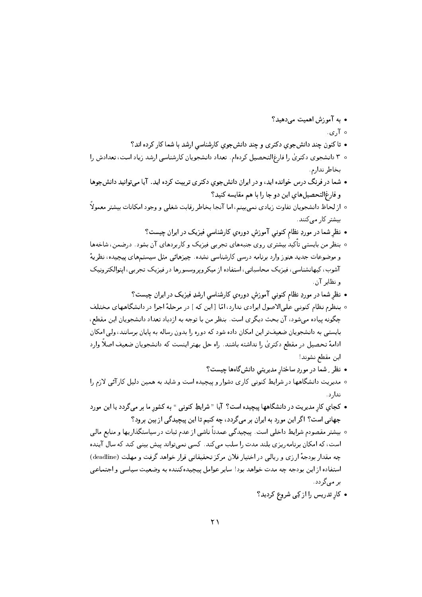- به آموزش اهمیت می دهید؟
	- $\sqrt{2}$
- تا کنون چند دانشجوی دکتری و چند دانشجوی کارشناسی ارشد با شما کار کرده اند؟
- ۰ ۳ دانشجوی دکتری را فارغ|لتحصیل کرده|م. تعداد دانشجویان کارشناسی ارشد زیاد است، تعدادش را ىخاطر ندار م
- شما در فرنگ درس خوانده اید، و در ایران دانشجوی دکتری تربیت کرده اید. آیا میتوانید دانشجوها و فارغالتحصيلهای اين دو جا را با هم مقايسه کنيد؟
- ٥ از لحاظ دانشجويان تفاوت زيادي نمىبينم، اما آنجا بخاطر رقابت شغلي و وجود امكانات بيشتر معمولاً بیشتر کار مے کنند.
	- نظر شما در موردِ نظام کنونی آموزش دورهی کارشناسی فیزیک در ایران چیست؟
- ۰ بنظر من بایستبی تأکید بیشتری روی جنبههای تجربی فیزیک و کاربردهای آن بشود. درضمن، شاخهها و موضوعات جدید هنوز وارد برنامه درسی کارشناسی نشده . چیزهائی مثل سیستمهای پیچیده، نظریهٔ آشوب، کیهانشناسی، فیزیک محاسباتی، استفاده از میکروپروسسورها در فیزیک تجربی، ایتوالکترونیک و نظایر آن.
	- نظر شما در موردِ نظام کنونبی آموزش دورهی کارشناسی ارشدِ فیزیک در ایران چیست؟
- ٥ بنظرم نظام كنونيي علىالاصول ايرادي ندارد، امّا [اين كه ] در مرحلةُ اجرا در دانشگاههاي مختلف چگونه پیاده می شود، آن بحث دیگری است. بنظر من با توجه به ازدیاد تعداد دانشجویان این مقطع، بایستبی به دانشجویان ضعیفتر این امکان داده شود که دوره را بدون رساله به پایان برسانند، ولی امکان ادامهٔ تحصیل در مقطع دکتری را نداشته باشند. راه حل بهتر اینست که دانشجویان ضعیف اصلاً وارد اين مقطع نشوند!
	- نظر ِ شما در موردِ ساختار مدیریتبی دانشگاهها چیست؟
- ۰ مدیریت دانشگاهها در شرایط کنونی کاری دشوار و پیچیده است و شاید به همین دلیل کارآئی لازم را ندار د .
- کجای کار مدیریت در دانشگاهها یبچیده است؟ آیا " شرایطِ کنونی " به کشور ما بر میگردد یا این مورد جهانی است؟ اگر این مورد به ایران بر میگردد، چه کنیم تا این پیچیدگی از بین برود؟
- بیشتر مقصودم شرایط داخلی است. پیچیدگی عمدتاً ناشی از عدم ثبات در سیاستگذاریها و منابع مالی است، که امکان برنامه یزی بلند مدت را سلب می کند. کسی نمی تواند پیش بینی کند که سال آینده چه مقدار بودجهٔ ارزی و ریالی در اختیار فلان مرکز تحقیقاتی قرار خواهد گرفت و مهلت (deadline) استفاده از اين بودجه چه مدت خواهد بود! ساير عوامل پيچيده كننده به وضعيت سياسي و اجتماعي بر مے گردد.
	- کار تدریس را از کِی شروع کردید؟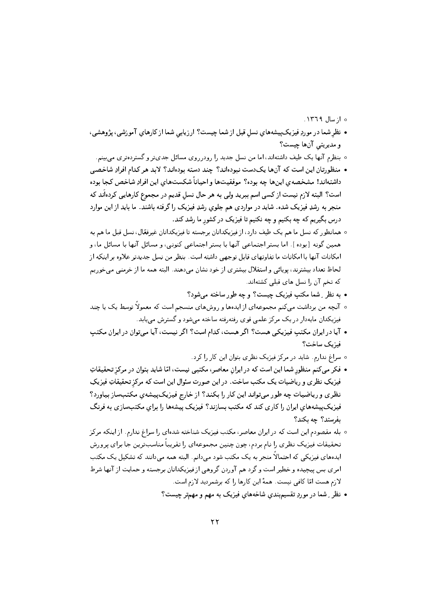- ه از سال ۱۳۶۹.
- نظر شما در موردِ فیزیکپیشههای نسل قبل از شما چیست؟ ارزیابی شما از کارهایِ آموزشی، پژوهشی، و مديريتي آنها چيست؟
	- ۰ بنظرم آنها یک طیف داشتهاند، اما من نسل جدید را رودرروی مسائل جدیتر و گستردهتری می بینم.
- منظورتان این است که آنها یکدست نبودهاند؟ چند دسته بودهاند؟ لابد هر کدام افرادِ شاخصی داشتهاند! مشخصهى اينها چه بوده؟ موفقيتها و احياناً شكستهاى اين افرادِ شاخص كجا بوده است؟ البته لازم نیست از کسی اسم ببرید ولی به هر حال نسل قدیم در مجموع کارهایی کردهاند که منجر به رشدِ فیزیک شده. شاید در مواردی هم جلوی رشدِ فیزیک را گرفته باشند. ما باید از این موارد درس بگیریم که چه بکنیم و چه نکنیم تا فیزیک در کشور ما رشد کند.
- <sup>ه</sup> همانطور که نسل ما هم یک طیف دارد، از فیزیکدانان برجسته تا فیزیکدانان غیرفعّال، نسل قبل ما هم به همین گونه [بوده ]. اما بستر اجتماعی آنها با بستر اجتماعی کنونی، و مسائل آنها با مسائل ما، و امکانات آنها با امکانات ما تفاوتهای قابل توجهی داشته است. بنظر من نسل جدیدتر علاوه بر اینکه از لحاظ تعداد بيشترند، يويائي و استقلال بيشتري از خود نشان مي دهند. البته همه ما از خرمني مي خوريم که تخم آن را نسل های قبلی کشتهاند.
	- به نظر ِ شما مکتب فیزیک چیست؟ و چه طور ساخته می شود؟
- ۰ آنچه من برداشت میکنم مجموعهای از ایدهها و روشهای منسجم است که معمولاً توسط یک یا چند فیزیکدان مایهدار در یک مرکز علمی قوی رفتهرفته ساخته می شود و گسترش می یابد.
- آیا در ایران مکتب فیزیکمی هست؟ اگر هست، کدام است؟ اگر نیست، آیا میتوان در ایران مکتب فيزيك ساخت؟
	- ه سراغ ندارم. شاید در مرکز فیزیک نظری بتوان این کار را کرد.
- فکر می کنم منظور شما این است که در ایران معاصر، مکتبی نیست، امّا شاید بتوان در مرکز تحقیقاتِ فیزیکِ نظری و ریاضیات یک مکتب ساخت. در این صورت سئوال این است که مرکز تحقیقاتِ فیزیکِ نظری و ریاضیبات چه طور میتواند این کار را بکند؟ از خارج فیزیکپیشهی مکتب ساز بیاورد؟ فیزیک پیشههای ایران را کاری کند که مکتب بسازند؟ فیزیک پیشهها را برای مکتب سازی به فرنگ بفرستد؟ چه بکند؟
- بله مقصودم این است که در ایران معاصر، مکتب فیزیک شناخته شدهای را سراغ ندارم. از اینکه مرکز تحقیقات فیزیک نظری را نام بردم، چون چنین مجموعهای را تقریباً مناسبترین جا برای پرورش ایدههای فیزیکی که احتمالاً منجر به یک مکتب شود میدانم. البته همه میدانند که تشکیل یک مکتب امری بس پیچیده و خطیر است و گرد هم آوردن گروهی از فیزیکدانان برجسته و حمایت از آنها شرط لازم هست امّا كافي نيست. همهٔ اين كارها را كه برشمرديد لازم است.
	- نظر ِ شما در موردِ تقسیمبندی شاخههای فیزیک به مهم و مهمتر چیست؟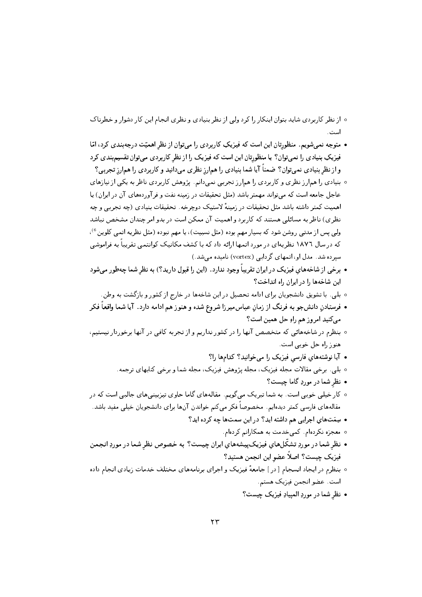- ه از نظر کاربردی شاید بتوان اینکار را کرد ولی از نظر بنیادی و نظری انجام این کار دشوار و خطرناک است .
- متوجه نمی شویم. منظورتان این است که فیزیکِ کاربردی را میتوان از نظر اهمیّت درجهبندی کرد، امّا فیزیکِ بنیادی را نمیتوان؟ یا منظورتان این است که فیزیک را از نظر کاربردی میتوان تقسیم بندی کرد و از نظر بنیادی نمیتوان؟ ضمناً آیا شما بنیادی را همارز نظری می دانید و کاربردی را همارز تجربی؟
- ۰ بنیادی را همارز نظری و کاربردی را همارز تجربی نمیدانم. پژوهش کاربردی ناظر به یکی از نیازهای عاجل جامعه است که می تواند مهمتر باشد (مثل تحقیقات در زمینه نفت و فر آوردههای آن در ایران) یا اهمیت کمتر داشته باشد مثل تحقیقات در زمینهٔ لاستیک دوچرخه. تحقیقات بنیادی (چه تجربی و چه نظری) ناظر به مسائلی هستند که کاربرد و اهمیت آن ممکن است در بدو امر چندان مشخص نباشد ولی پس از مدتبی روشن شود که بسیار مهم بوده (مثل نسبیت)، یا مهم نبوده (مثل نظریه اتمی کلوین <sup>6</sup>)، که در سال ۱۸۷۲ نظریهای در مورد اتمها ارائه داد که با کشف مکانیک کوانتمی تقریباً به فراموشی سیرده شد. مدل او، اتمهای گردابی (vortex) نامیده می شد.)
- برخی از شاخههای فیزیک در ایران تقریباً وجود ندارد. (این را قبول دارید؟) به نظر شما چهطور میشود این شاخهها را در ایران راه انداخت؟
	- بلي. با تشويق دانشجويان براي ادامه تحصيل در اين شاخهها در خارج از كشور و بازگشت به وطن.
- فرستادن دانشجو به فرنگ از زمان عباس میرزا شروع شده و هنوز هم ادامه دارد. آیا شما واقعاً فکر می کنید امروز هم راو حل همین است؟
- بنظرم در شاخههائی که متخصص آنها را در کشور نداریم و از تجربه کافی در آنها برخوردار نیستیم، هنوز راه حل خوبی است.
	- آیا نوشتههای فارسی فیزیک را می خوانید؟ کدامها را؟
	- ۰ بلي . برخې مقالات مجله فيزيک، مجله پژوهش فيزيک، مجله شما و برخې کتابهاي ترجمه .
		- نظر شما در موردِ گاما چیست؟
- ۰ کار خیلی خوبی است. به شما تبریک میگویم. مقالههای گاما حاوی تیزبینیهای جالبی است که در مقالههای فارسی کمتر دیدهایم. مخصوصاً فکر میکنم خواندن آنها برای دانشجویان خیلی مفید باشد. • سِمَتهای اجرایی هم داشته اید؟ در این سمتها چه کرده اید؟
	- ٥ معجزه نكردهام. كمىخدمت به همكارانم كردهام.
- نظر شما در موردِ تشکّلهای فیزیکپیشههای ایران چیست؟ به خصوص نظر شما در موردِ انجمن فيزيک چيست؟ اصلاً عضو اين انجمن هستيد؟
- ۰ بنظرم در ایجاد انسجام [در ] جامعهٔ فیزیک و اجرای برنامههای مختلف خدمات زیادی انجام داده است. عضو انجمن فيزيک هستم.
	- نظر شما در موردِ المييادِ فيزيک چيست؟